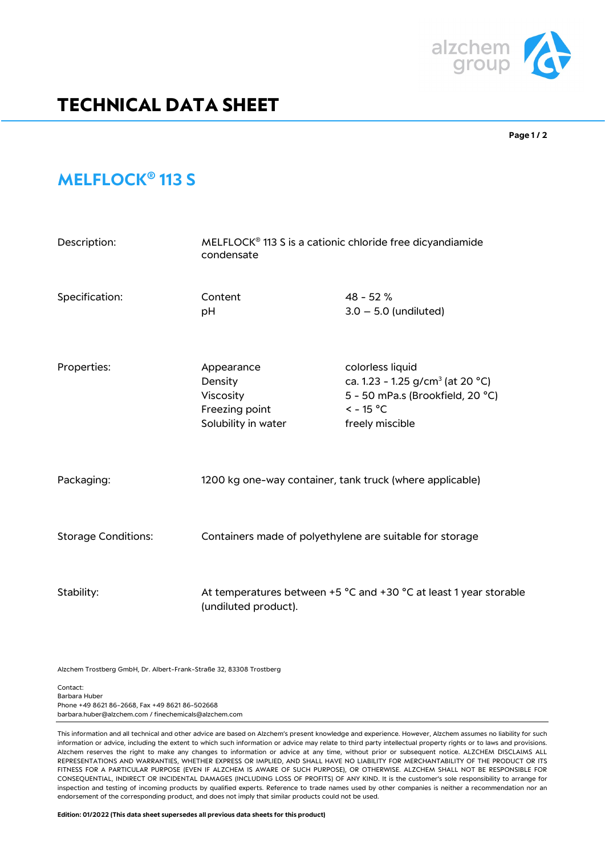

## **TECHNICAL DATA SHEET**

**Page 1 / 2**

## **MELFLOCK® 113 S**

| Description:               | MELFLOCK <sup>®</sup> 113 S is a cationic chloride free dicyandiamide<br>condensate       |                                                                                                                                        |
|----------------------------|-------------------------------------------------------------------------------------------|----------------------------------------------------------------------------------------------------------------------------------------|
| Specification:             | Content<br>рH                                                                             | $48 - 52%$<br>$3.0 - 5.0$ (undiluted)                                                                                                  |
| Properties:                | Appearance<br>Density<br>Viscosity<br>Freezing point<br>Solubility in water               | colorless liquid<br>ca. 1.23 - 1.25 g/cm <sup>3</sup> (at 20 °C)<br>5 - 50 mPa.s (Brookfield, 20 °C)<br>$<$ - 15 °C<br>freely miscible |
| Packaging:                 | 1200 kg one-way container, tank truck (where applicable)                                  |                                                                                                                                        |
| <b>Storage Conditions:</b> | Containers made of polyethylene are suitable for storage                                  |                                                                                                                                        |
| Stability:                 | At temperatures between +5 °C and +30 °C at least 1 year storable<br>(undiluted product). |                                                                                                                                        |

Alzchem Trostberg GmbH, Dr. Albert-Frank-Straße 32, 83308 Trostberg

Contact: Barbara Huber Phone +49 8621 86-2668, Fax +49 8621 86-502668 barbara.huber@alzchem.com / finechemicals@alzchem.com

This information and all technical and other advice are based on Alzchem's present knowledge and experience. However, Alzchem assumes no liability for such information or advice, including the extent to which such information or advice may relate to third party intellectual property rights or to laws and provisions. Alzchem reserves the right to make any changes to information or advice at any time, without prior or subsequent notice. ALZCHEM DISCLAIMS ALL REPRESENTATIONS AND WARRANTIES, WHETHER EXPRESS OR IMPLIED, AND SHALL HAVE NO LIABILITY FOR MERCHANTABILITY OF THE PRODUCT OR ITS FITNESS FOR A PARTICULAR PURPOSE (EVEN IF ALZCHEM IS AWARE OF SUCH PURPOSE), OR OTHERWISE. ALZCHEM SHALL NOT BE RESPONSIBLE FOR CONSEQUENTIAL, INDIRECT OR INCIDENTAL DAMAGES (INCLUDING LOSS OF PROFITS) OF ANY KIND. It is the customer's sole responsibility to arrange for inspection and testing of incoming products by qualified experts. Reference to trade names used by other companies is neither a recommendation nor an endorsement of the corresponding product, and does not imply that similar products could not be used.

**Edition: 01/2022 (This data sheet supersedes all previous data sheets for this product)**